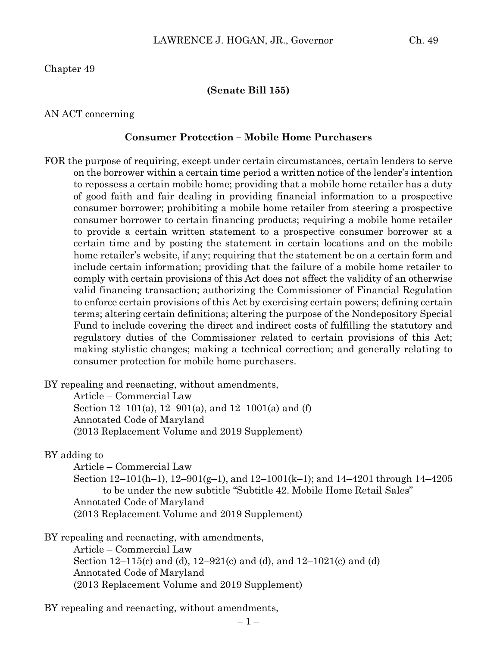Chapter 49

#### **(Senate Bill 155)**

AN ACT concerning

#### **Consumer Protection – Mobile Home Purchasers**

FOR the purpose of requiring, except under certain circumstances, certain lenders to serve on the borrower within a certain time period a written notice of the lender's intention to repossess a certain mobile home; providing that a mobile home retailer has a duty of good faith and fair dealing in providing financial information to a prospective consumer borrower; prohibiting a mobile home retailer from steering a prospective consumer borrower to certain financing products; requiring a mobile home retailer to provide a certain written statement to a prospective consumer borrower at a certain time and by posting the statement in certain locations and on the mobile home retailer's website, if any; requiring that the statement be on a certain form and include certain information; providing that the failure of a mobile home retailer to comply with certain provisions of this Act does not affect the validity of an otherwise valid financing transaction; authorizing the Commissioner of Financial Regulation to enforce certain provisions of this Act by exercising certain powers; defining certain terms; altering certain definitions; altering the purpose of the Nondepository Special Fund to include covering the direct and indirect costs of fulfilling the statutory and regulatory duties of the Commissioner related to certain provisions of this Act; making stylistic changes; making a technical correction; and generally relating to consumer protection for mobile home purchasers.

BY repealing and reenacting, without amendments,

Article – Commercial Law Section 12–101(a), 12–901(a), and 12–1001(a) and (f) Annotated Code of Maryland (2013 Replacement Volume and 2019 Supplement)

#### BY adding to

Article – Commercial Law

Section 12–101(h–1), 12–901(g–1), and 12–1001(k–1); and 14–4201 through 14–4205 to be under the new subtitle "Subtitle 42. Mobile Home Retail Sales" Annotated Code of Maryland (2013 Replacement Volume and 2019 Supplement)

BY repealing and reenacting, with amendments,

Article – Commercial Law Section 12–115(c) and (d), 12–921(c) and (d), and 12–1021(c) and (d) Annotated Code of Maryland (2013 Replacement Volume and 2019 Supplement)

BY repealing and reenacting, without amendments,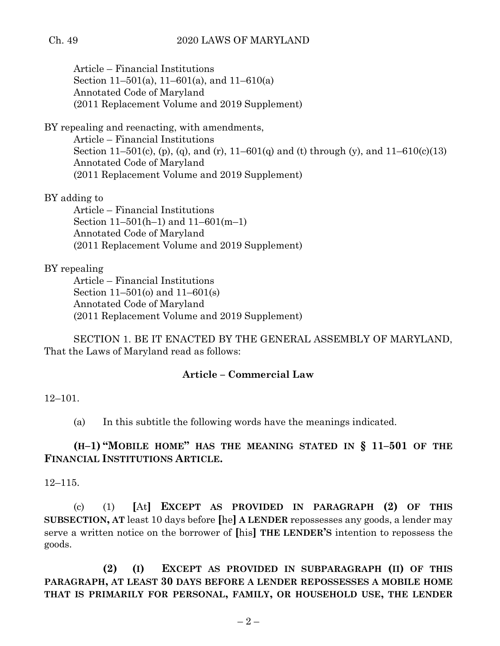Article – Financial Institutions Section 11–501(a), 11–601(a), and 11–610(a) Annotated Code of Maryland (2011 Replacement Volume and 2019 Supplement)

BY repealing and reenacting, with amendments,

Article – Financial Institutions Section 11–501(c), (p), (q), and (r), 11–601(q) and (t) through (y), and  $11-610(c)(13)$ Annotated Code of Maryland (2011 Replacement Volume and 2019 Supplement)

BY adding to

Article – Financial Institutions Section 11–501(h–1) and 11–601(m–1) Annotated Code of Maryland (2011 Replacement Volume and 2019 Supplement)

## BY repealing

Article – Financial Institutions Section 11–501(o) and 11–601(s) Annotated Code of Maryland (2011 Replacement Volume and 2019 Supplement)

SECTION 1. BE IT ENACTED BY THE GENERAL ASSEMBLY OF MARYLAND, That the Laws of Maryland read as follows:

## **Article – Commercial Law**

### 12–101.

(a) In this subtitle the following words have the meanings indicated.

# **(H–1) "MOBILE HOME" HAS THE MEANING STATED IN § 11–501 OF THE FINANCIAL INSTITUTIONS ARTICLE.**

12–115.

(c) (1) **[**At**] EXCEPT AS PROVIDED IN PARAGRAPH (2) OF THIS SUBSECTION, AT** least 10 days before **[**he**] A LENDER** repossesses any goods, a lender may serve a written notice on the borrower of **[**his**] THE LENDER'S** intention to repossess the goods.

**(2) (I) EXCEPT AS PROVIDED IN SUBPARAGRAPH (II) OF THIS PARAGRAPH, AT LEAST 30 DAYS BEFORE A LENDER REPOSSESSES A MOBILE HOME THAT IS PRIMARILY FOR PERSONAL, FAMILY, OR HOUSEHOLD USE, THE LENDER**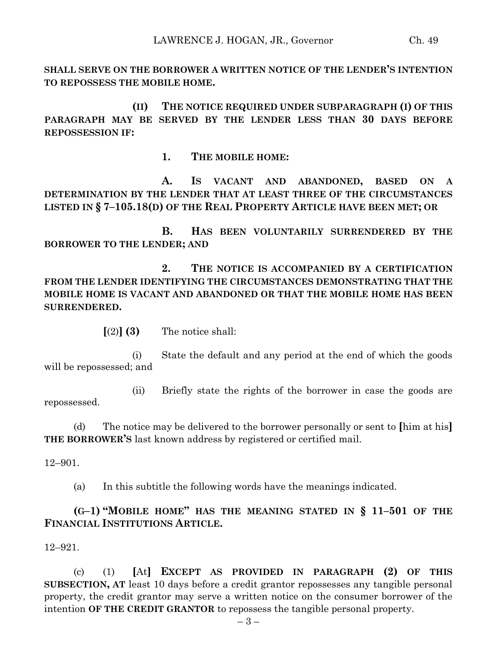**SHALL SERVE ON THE BORROWER A WRITTEN NOTICE OF THE LENDER'S INTENTION TO REPOSSESS THE MOBILE HOME.**

**(II) THE NOTICE REQUIRED UNDER SUBPARAGRAPH (I) OF THIS PARAGRAPH MAY BE SERVED BY THE LENDER LESS THAN 30 DAYS BEFORE REPOSSESSION IF:**

**1. THE MOBILE HOME:**

**A. IS VACANT AND ABANDONED, BASED ON A DETERMINATION BY THE LENDER THAT AT LEAST THREE OF THE CIRCUMSTANCES LISTED IN § 7–105.18(D) OF THE REAL PROPERTY ARTICLE HAVE BEEN MET; OR**

**B. HAS BEEN VOLUNTARILY SURRENDERED BY THE BORROWER TO THE LENDER; AND**

**2. THE NOTICE IS ACCOMPANIED BY A CERTIFICATION FROM THE LENDER IDENTIFYING THE CIRCUMSTANCES DEMONSTRATING THAT THE MOBILE HOME IS VACANT AND ABANDONED OR THAT THE MOBILE HOME HAS BEEN SURRENDERED.**

 $\lceil (2) \rceil$  **(3)** The notice shall:

(i) State the default and any period at the end of which the goods will be repossessed; and

(ii) Briefly state the rights of the borrower in case the goods are repossessed.

(d) The notice may be delivered to the borrower personally or sent to **[**him at his**] THE BORROWER'S** last known address by registered or certified mail.

12–901.

(a) In this subtitle the following words have the meanings indicated.

**(G–1) "MOBILE HOME" HAS THE MEANING STATED IN § 11–501 OF THE FINANCIAL INSTITUTIONS ARTICLE.**

12–921.

(c) (1) **[**At**] EXCEPT AS PROVIDED IN PARAGRAPH (2) OF THIS SUBSECTION, AT** least 10 days before a credit grantor repossesses any tangible personal property, the credit grantor may serve a written notice on the consumer borrower of the intention **OF THE CREDIT GRANTOR** to repossess the tangible personal property.

– 3 –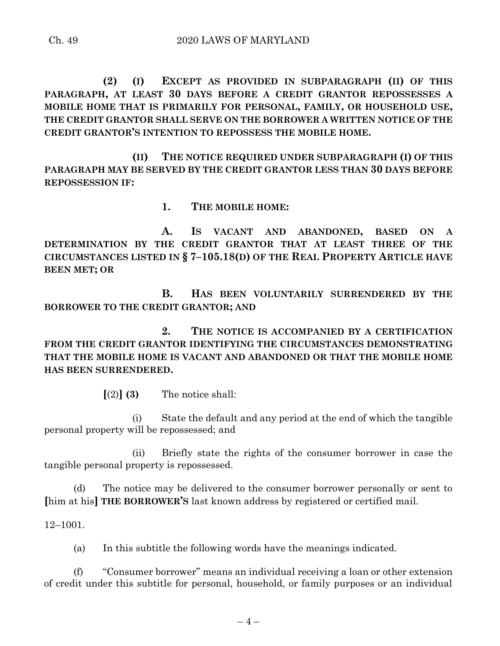**(2) (I) EXCEPT AS PROVIDED IN SUBPARAGRAPH (II) OF THIS PARAGRAPH, AT LEAST 30 DAYS BEFORE A CREDIT GRANTOR REPOSSESSES A MOBILE HOME THAT IS PRIMARILY FOR PERSONAL, FAMILY, OR HOUSEHOLD USE, THE CREDIT GRANTOR SHALL SERVE ON THE BORROWER A WRITTEN NOTICE OF THE CREDIT GRANTOR'S INTENTION TO REPOSSESS THE MOBILE HOME.**

**(II) THE NOTICE REQUIRED UNDER SUBPARAGRAPH (I) OF THIS PARAGRAPH MAY BE SERVED BY THE CREDIT GRANTOR LESS THAN 30 DAYS BEFORE REPOSSESSION IF:**

**1. THE MOBILE HOME:**

**A. IS VACANT AND ABANDONED, BASED ON A DETERMINATION BY THE CREDIT GRANTOR THAT AT LEAST THREE OF THE CIRCUMSTANCES LISTED IN § 7–105.18(D) OF THE REAL PROPERTY ARTICLE HAVE BEEN MET; OR**

**B. HAS BEEN VOLUNTARILY SURRENDERED BY THE BORROWER TO THE CREDIT GRANTOR; AND**

**2. THE NOTICE IS ACCOMPANIED BY A CERTIFICATION FROM THE CREDIT GRANTOR IDENTIFYING THE CIRCUMSTANCES DEMONSTRATING THAT THE MOBILE HOME IS VACANT AND ABANDONED OR THAT THE MOBILE HOME HAS BEEN SURRENDERED.**

 $\lceil (2) \rceil$  **(3)** The notice shall:

(i) State the default and any period at the end of which the tangible personal property will be repossessed; and

(ii) Briefly state the rights of the consumer borrower in case the tangible personal property is repossessed.

(d) The notice may be delivered to the consumer borrower personally or sent to **[**him at his**] THE BORROWER'S** last known address by registered or certified mail.

12–1001.

(a) In this subtitle the following words have the meanings indicated.

(f) "Consumer borrower" means an individual receiving a loan or other extension of credit under this subtitle for personal, household, or family purposes or an individual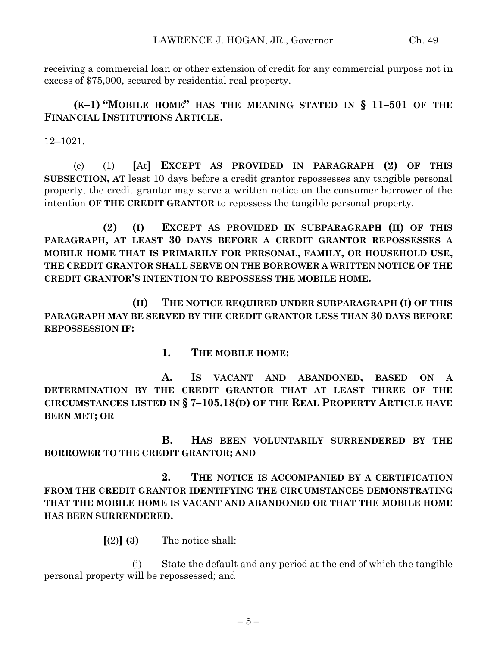receiving a commercial loan or other extension of credit for any commercial purpose not in excess of \$75,000, secured by residential real property.

**(K–1) "MOBILE HOME" HAS THE MEANING STATED IN § 11–501 OF THE FINANCIAL INSTITUTIONS ARTICLE.**

12–1021.

(c) (1) **[**At**] EXCEPT AS PROVIDED IN PARAGRAPH (2) OF THIS SUBSECTION, AT** least 10 days before a credit grantor repossesses any tangible personal property, the credit grantor may serve a written notice on the consumer borrower of the intention **OF THE CREDIT GRANTOR** to repossess the tangible personal property.

**(2) (I) EXCEPT AS PROVIDED IN SUBPARAGRAPH (II) OF THIS PARAGRAPH, AT LEAST 30 DAYS BEFORE A CREDIT GRANTOR REPOSSESSES A MOBILE HOME THAT IS PRIMARILY FOR PERSONAL, FAMILY, OR HOUSEHOLD USE, THE CREDIT GRANTOR SHALL SERVE ON THE BORROWER A WRITTEN NOTICE OF THE CREDIT GRANTOR'S INTENTION TO REPOSSESS THE MOBILE HOME.**

**(II) THE NOTICE REQUIRED UNDER SUBPARAGRAPH (I) OF THIS PARAGRAPH MAY BE SERVED BY THE CREDIT GRANTOR LESS THAN 30 DAYS BEFORE REPOSSESSION IF:**

**1. THE MOBILE HOME:**

**A. IS VACANT AND ABANDONED, BASED ON A DETERMINATION BY THE CREDIT GRANTOR THAT AT LEAST THREE OF THE CIRCUMSTANCES LISTED IN § 7–105.18(D) OF THE REAL PROPERTY ARTICLE HAVE BEEN MET; OR**

**B. HAS BEEN VOLUNTARILY SURRENDERED BY THE BORROWER TO THE CREDIT GRANTOR; AND**

**2. THE NOTICE IS ACCOMPANIED BY A CERTIFICATION FROM THE CREDIT GRANTOR IDENTIFYING THE CIRCUMSTANCES DEMONSTRATING THAT THE MOBILE HOME IS VACANT AND ABANDONED OR THAT THE MOBILE HOME HAS BEEN SURRENDERED.**

 $\lceil(2)\rceil$  **(3)** The notice shall:

(i) State the default and any period at the end of which the tangible personal property will be repossessed; and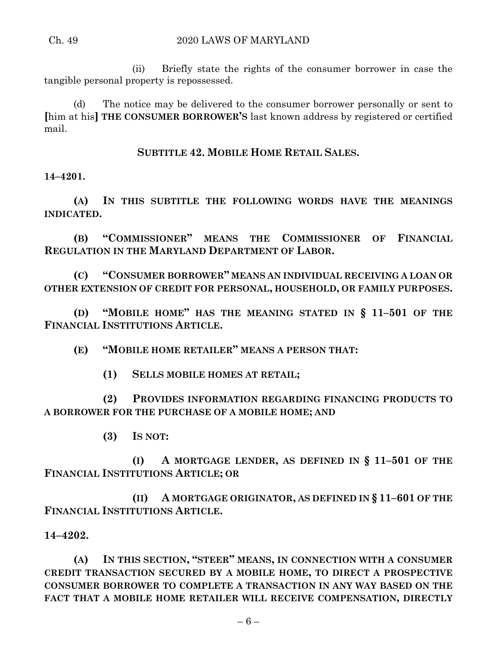(ii) Briefly state the rights of the consumer borrower in case the tangible personal property is repossessed.

(d) The notice may be delivered to the consumer borrower personally or sent to **[**him at his**] THE CONSUMER BORROWER'S** last known address by registered or certified mail.

**SUBTITLE 42. MOBILE HOME RETAIL SALES.**

**14–4201.**

**(A) IN THIS SUBTITLE THE FOLLOWING WORDS HAVE THE MEANINGS INDICATED.**

**(B) "COMMISSIONER" MEANS THE COMMISSIONER OF FINANCIAL REGULATION IN THE MARYLAND DEPARTMENT OF LABOR.**

**(C) "CONSUMER BORROWER" MEANS AN INDIVIDUAL RECEIVING A LOAN OR OTHER EXTENSION OF CREDIT FOR PERSONAL, HOUSEHOLD, OR FAMILY PURPOSES.**

**(D) "MOBILE HOME" HAS THE MEANING STATED IN § 11–501 OF THE FINANCIAL INSTITUTIONS ARTICLE.**

**(E) "MOBILE HOME RETAILER" MEANS A PERSON THAT:**

**(1) SELLS MOBILE HOMES AT RETAIL;**

**(2) PROVIDES INFORMATION REGARDING FINANCING PRODUCTS TO A BORROWER FOR THE PURCHASE OF A MOBILE HOME; AND**

**(3) IS NOT:**

**(I) A MORTGAGE LENDER, AS DEFINED IN § 11–501 OF THE FINANCIAL INSTITUTIONS ARTICLE; OR**

**(II) A MORTGAGE ORIGINATOR, AS DEFINED IN § 11–601 OF THE FINANCIAL INSTITUTIONS ARTICLE.**

**14–4202.**

**(A) IN THIS SECTION, "STEER" MEANS, IN CONNECTION WITH A CONSUMER CREDIT TRANSACTION SECURED BY A MOBILE HOME, TO DIRECT A PROSPECTIVE CONSUMER BORROWER TO COMPLETE A TRANSACTION IN ANY WAY BASED ON THE FACT THAT A MOBILE HOME RETAILER WILL RECEIVE COMPENSATION, DIRECTLY**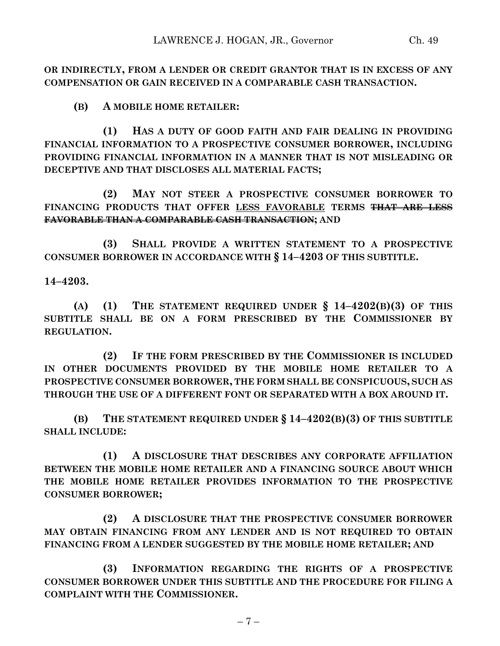**OR INDIRECTLY, FROM A LENDER OR CREDIT GRANTOR THAT IS IN EXCESS OF ANY COMPENSATION OR GAIN RECEIVED IN A COMPARABLE CASH TRANSACTION.**

**(B) A MOBILE HOME RETAILER:**

**(1) HAS A DUTY OF GOOD FAITH AND FAIR DEALING IN PROVIDING FINANCIAL INFORMATION TO A PROSPECTIVE CONSUMER BORROWER, INCLUDING PROVIDING FINANCIAL INFORMATION IN A MANNER THAT IS NOT MISLEADING OR DECEPTIVE AND THAT DISCLOSES ALL MATERIAL FACTS;**

**(2) MAY NOT STEER A PROSPECTIVE CONSUMER BORROWER TO FINANCING PRODUCTS THAT OFFER LESS FAVORABLE TERMS THAT ARE LESS FAVORABLE THAN A COMPARABLE CASH TRANSACTION; AND** 

**(3) SHALL PROVIDE A WRITTEN STATEMENT TO A PROSPECTIVE CONSUMER BORROWER IN ACCORDANCE WITH § 14–4203 OF THIS SUBTITLE.**

**14–4203.**

**(A) (1) THE STATEMENT REQUIRED UNDER § 14–4202(B)(3) OF THIS SUBTITLE SHALL BE ON A FORM PRESCRIBED BY THE COMMISSIONER BY REGULATION.**

**(2) IF THE FORM PRESCRIBED BY THE COMMISSIONER IS INCLUDED IN OTHER DOCUMENTS PROVIDED BY THE MOBILE HOME RETAILER TO A PROSPECTIVE CONSUMER BORROWER, THE FORM SHALL BE CONSPICUOUS, SUCH AS THROUGH THE USE OF A DIFFERENT FONT OR SEPARATED WITH A BOX AROUND IT.**

**(B) THE STATEMENT REQUIRED UNDER § 14–4202(B)(3) OF THIS SUBTITLE SHALL INCLUDE:**

**(1) A DISCLOSURE THAT DESCRIBES ANY CORPORATE AFFILIATION BETWEEN THE MOBILE HOME RETAILER AND A FINANCING SOURCE ABOUT WHICH THE MOBILE HOME RETAILER PROVIDES INFORMATION TO THE PROSPECTIVE CONSUMER BORROWER;**

**(2) A DISCLOSURE THAT THE PROSPECTIVE CONSUMER BORROWER MAY OBTAIN FINANCING FROM ANY LENDER AND IS NOT REQUIRED TO OBTAIN FINANCING FROM A LENDER SUGGESTED BY THE MOBILE HOME RETAILER; AND**

**(3) INFORMATION REGARDING THE RIGHTS OF A PROSPECTIVE CONSUMER BORROWER UNDER THIS SUBTITLE AND THE PROCEDURE FOR FILING A COMPLAINT WITH THE COMMISSIONER.**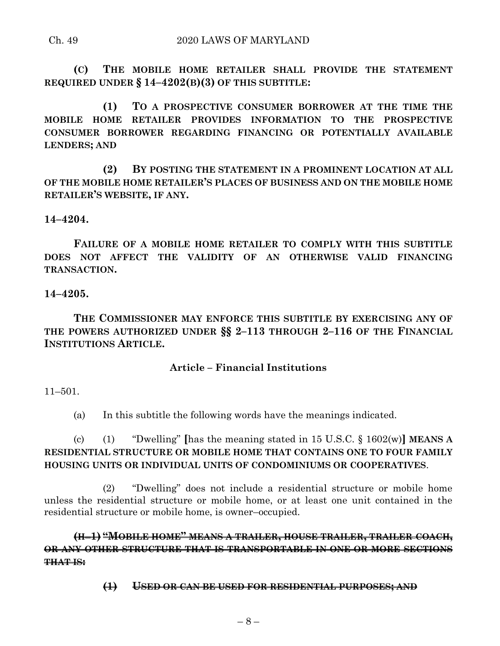### Ch. 49 2020 LAWS OF MARYLAND

**(C) THE MOBILE HOME RETAILER SHALL PROVIDE THE STATEMENT REQUIRED UNDER § 14–4202(B)(3) OF THIS SUBTITLE:**

**(1) TO A PROSPECTIVE CONSUMER BORROWER AT THE TIME THE MOBILE HOME RETAILER PROVIDES INFORMATION TO THE PROSPECTIVE CONSUMER BORROWER REGARDING FINANCING OR POTENTIALLY AVAILABLE LENDERS; AND**

**(2) BY POSTING THE STATEMENT IN A PROMINENT LOCATION AT ALL OF THE MOBILE HOME RETAILER'S PLACES OF BUSINESS AND ON THE MOBILE HOME RETAILER'S WEBSITE, IF ANY.**

### **14–4204.**

**FAILURE OF A MOBILE HOME RETAILER TO COMPLY WITH THIS SUBTITLE DOES NOT AFFECT THE VALIDITY OF AN OTHERWISE VALID FINANCING TRANSACTION.**

### **14–4205.**

**THE COMMISSIONER MAY ENFORCE THIS SUBTITLE BY EXERCISING ANY OF THE POWERS AUTHORIZED UNDER §§ 2–113 THROUGH 2–116 OF THE FINANCIAL INSTITUTIONS ARTICLE.**

### **Article – Financial Institutions**

11–501.

(a) In this subtitle the following words have the meanings indicated.

(c) (1) "Dwelling" **[**has the meaning stated in 15 U.S.C. § 1602(w)**] MEANS A RESIDENTIAL STRUCTURE OR MOBILE HOME THAT CONTAINS ONE TO FOUR FAMILY HOUSING UNITS OR INDIVIDUAL UNITS OF CONDOMINIUMS OR COOPERATIVES**.

(2) "Dwelling" does not include a residential structure or mobile home unless the residential structure or mobile home, or at least one unit contained in the residential structure or mobile home, is owner–occupied.

**(H**–**1) "MOBILE HOME" MEANS A TRAILER, HOUSE TRAILER, TRAILER COACH, OR ANY OTHER STRUCTURE THAT IS TRANSPORTABLE IN ONE OR MORE SECTIONS THAT IS:**

**(1) USED OR CAN BE USED FOR RESIDENTIAL PURPOSES; AND**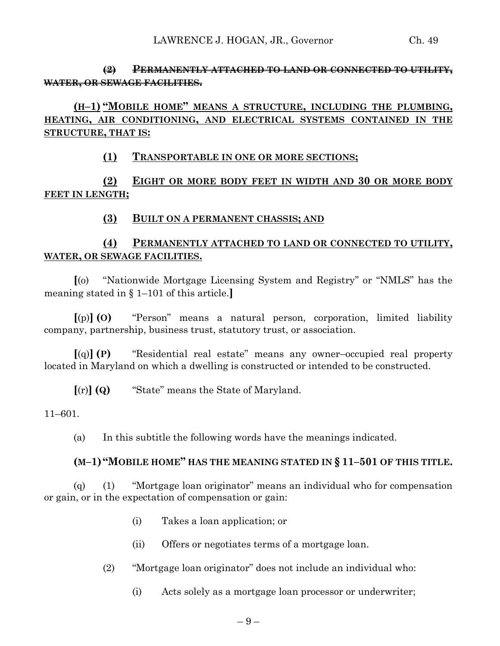## **(2) PERMANENTLY ATTACHED TO LAND OR CONNECTED TO UTILITY, WATER, OR SEWAGE FACILITIES.**

# **(H–1) "MOBILE HOME" MEANS A STRUCTURE, INCLUDING THE PLUMBING, HEATING, AIR CONDITIONING, AND ELECTRICAL SYSTEMS CONTAINED IN THE STRUCTURE, THAT IS:**

## **(1) TRANSPORTABLE IN ONE OR MORE SECTIONS;**

# **(2) EIGHT OR MORE BODY FEET IN WIDTH AND 30 OR MORE BODY FEET IN LENGTH;**

## **(3) BUILT ON A PERMANENT CHASSIS; AND**

# **(4) PERMANENTLY ATTACHED TO LAND OR CONNECTED TO UTILITY, WATER, OR SEWAGE FACILITIES.**

**[**(o) ''Nationwide Mortgage Licensing System and Registry'' or "NMLS" has the meaning stated in § 1–101 of this article.**]**

**[**(p)**] (O)** "Person" means a natural person, corporation, limited liability company, partnership, business trust, statutory trust, or association.

**[**(q)**] (P)** "Residential real estate" means any owner–occupied real property located in Maryland on which a dwelling is constructed or intended to be constructed.

**[**(r)**] (Q)** "State" means the State of Maryland.

11–601.

(a) In this subtitle the following words have the meanings indicated.

### **(M–1) "MOBILE HOME" HAS THE MEANING STATED IN § 11–501 OF THIS TITLE.**

(q) (1) "Mortgage loan originator" means an individual who for compensation or gain, or in the expectation of compensation or gain:

- (i) Takes a loan application; or
- (ii) Offers or negotiates terms of a mortgage loan.
- (2) "Mortgage loan originator" does not include an individual who:
	- (i) Acts solely as a mortgage loan processor or underwriter;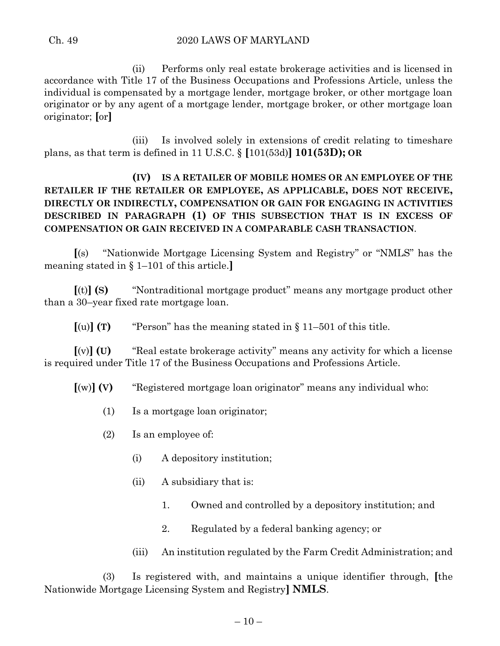(ii) Performs only real estate brokerage activities and is licensed in accordance with Title 17 of the Business Occupations and Professions Article, unless the individual is compensated by a mortgage lender, mortgage broker, or other mortgage loan originator or by any agent of a mortgage lender, mortgage broker, or other mortgage loan originator; **[**or**]**

(iii) Is involved solely in extensions of credit relating to timeshare plans, as that term is defined in 11 U.S.C. § **[**101(53d)**] 101(53D); OR**

# **(IV) IS A RETAILER OF MOBILE HOMES OR AN EMPLOYEE OF THE RETAILER IF THE RETAILER OR EMPLOYEE, AS APPLICABLE, DOES NOT RECEIVE, DIRECTLY OR INDIRECTLY, COMPENSATION OR GAIN FOR ENGAGING IN ACTIVITIES DESCRIBED IN PARAGRAPH (1) OF THIS SUBSECTION THAT IS IN EXCESS OF COMPENSATION OR GAIN RECEIVED IN A COMPARABLE CASH TRANSACTION**.

**[**(s) ''Nationwide Mortgage Licensing System and Registry'' or "NMLS" has the meaning stated in § 1–101 of this article.**]**

**[**(t)**] (S)** "Nontraditional mortgage product" means any mortgage product other than a 30–year fixed rate mortgage loan.

 $[(u)]$  **(T)** "Person" has the meaning stated in  $§$  11–501 of this title.

**[**(v)**] (U)** ''Real estate brokerage activity'' means any activity for which a license is required under Title 17 of the Business Occupations and Professions Article.

**[**(w)**] (V)** ''Registered mortgage loan originator'' means any individual who:

- (1) Is a mortgage loan originator;
- (2) Is an employee of:
	- (i) A depository institution;
	- (ii) A subsidiary that is:
		- 1. Owned and controlled by a depository institution; and
		- 2. Regulated by a federal banking agency; or
	- (iii) An institution regulated by the Farm Credit Administration; and

(3) Is registered with, and maintains a unique identifier through, **[**the Nationwide Mortgage Licensing System and Registry**] NMLS**.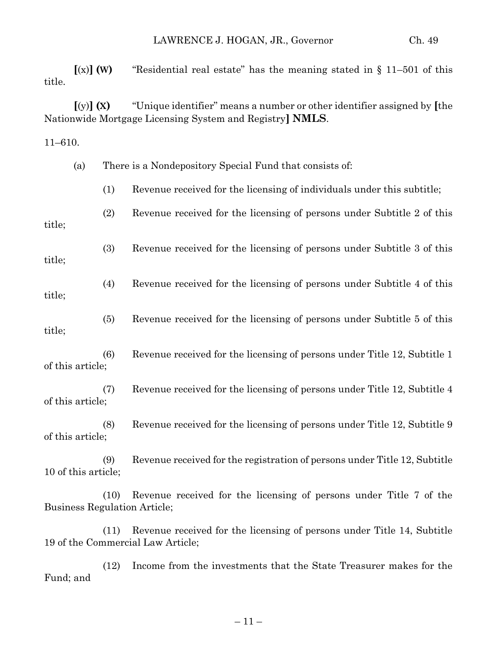**[**(x)**] (W)** "Residential real estate" has the meaning stated in § 11–501 of this title.

**[**(y)**] (X)** "Unique identifier" means a number or other identifier assigned by **[**the Nationwide Mortgage Licensing System and Registry**] NMLS**.

11–610.

|                     | (a) |      | There is a Nondepository Special Fund that consists of:                                                   |
|---------------------|-----|------|-----------------------------------------------------------------------------------------------------------|
|                     |     | (1)  | Revenue received for the licensing of individuals under this subtitle;                                    |
| title;              |     | (2)  | Revenue received for the licensing of persons under Subtitle 2 of this                                    |
| title;              |     | (3)  | Revenue received for the licensing of persons under Subtitle 3 of this                                    |
| title;              |     | (4)  | Revenue received for the licensing of persons under Subtitle 4 of this                                    |
| title;              |     | (5)  | Revenue received for the licensing of persons under Subtitle 5 of this                                    |
| of this article;    |     | (6)  | Revenue received for the licensing of persons under Title 12, Subtitle 1                                  |
| of this article;    |     | (7)  | Revenue received for the licensing of persons under Title 12, Subtitle 4                                  |
| of this article;    |     | (8)  | Revenue received for the licensing of persons under Title 12, Subtitle 9                                  |
| 10 of this article; |     | (9)  | Revenue received for the registration of persons under Title 12, Subtitle                                 |
|                     |     | (10) | Revenue received for the licensing of persons under Title 7 of the<br><b>Business Regulation Article;</b> |

(11) Revenue received for the licensing of persons under Title 14, Subtitle 19 of the Commercial Law Article;

(12) Income from the investments that the State Treasurer makes for the Fund; and